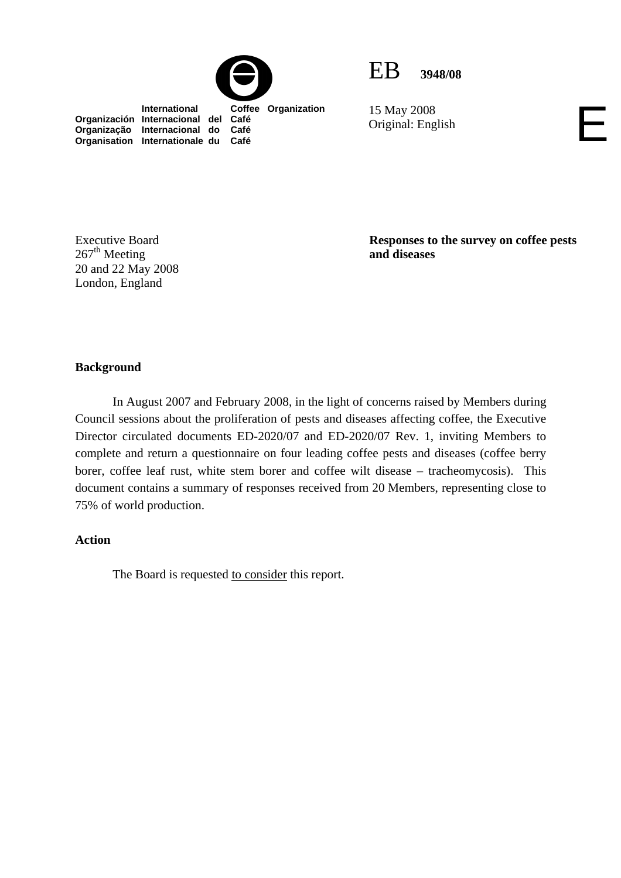



15 May 2008 15 May 2008<br>Original: English

 **International Coffee Organization Organización Internacional del Café Organização Internacional do Café Organisation Internationale du Café**

Executive Board  $267<sup>th</sup>$  Meeting 20 and 22 May 2008 London, England

**Responses to the survey on coffee pests and diseases** 

### **Background**

In August 2007 and February 2008, in the light of concerns raised by Members during Council sessions about the proliferation of pests and diseases affecting coffee, the Executive Director circulated documents ED-2020/07 and ED-2020/07 Rev. 1, inviting Members to complete and return a questionnaire on four leading coffee pests and diseases (coffee berry borer, coffee leaf rust, white stem borer and coffee wilt disease – tracheomycosis). This document contains a summary of responses received from 20 Members, representing close to 75% of world production.

### **Action**

The Board is requested to consider this report.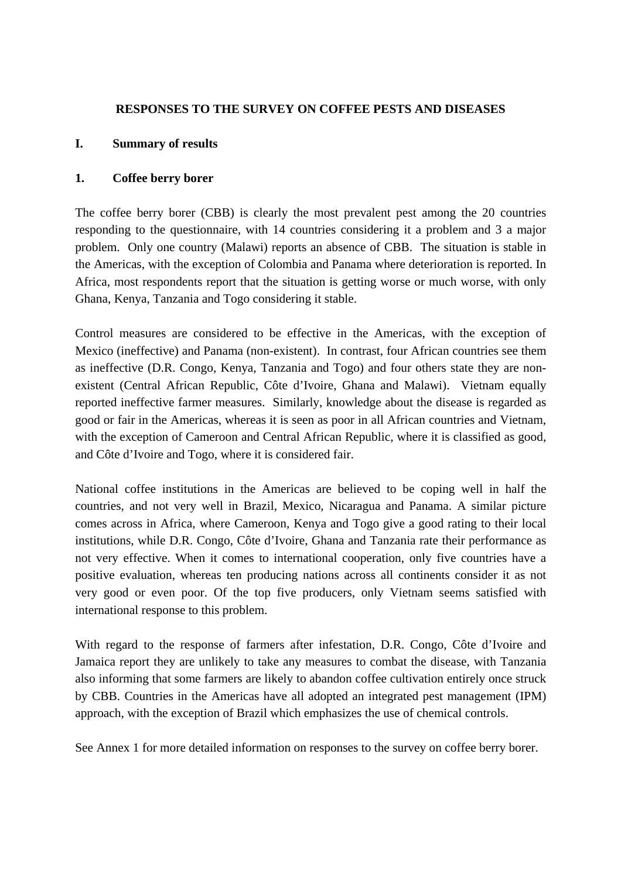## **RESPONSES TO THE SURVEY ON COFFEE PESTS AND DISEASES**

## **I. Summary of results**

## **1. Coffee berry borer**

The coffee berry borer (CBB) is clearly the most prevalent pest among the 20 countries responding to the questionnaire, with 14 countries considering it a problem and 3 a major problem. Only one country (Malawi) reports an absence of CBB. The situation is stable in the Americas, with the exception of Colombia and Panama where deterioration is reported. In Africa, most respondents report that the situation is getting worse or much worse, with only Ghana, Kenya, Tanzania and Togo considering it stable.

Control measures are considered to be effective in the Americas, with the exception of Mexico (ineffective) and Panama (non-existent). In contrast, four African countries see them as ineffective (D.R. Congo, Kenya, Tanzania and Togo) and four others state they are nonexistent (Central African Republic, Côte d'Ivoire, Ghana and Malawi). Vietnam equally reported ineffective farmer measures. Similarly, knowledge about the disease is regarded as good or fair in the Americas, whereas it is seen as poor in all African countries and Vietnam, with the exception of Cameroon and Central African Republic, where it is classified as good, and Côte d'Ivoire and Togo, where it is considered fair.

National coffee institutions in the Americas are believed to be coping well in half the countries, and not very well in Brazil, Mexico, Nicaragua and Panama. A similar picture comes across in Africa, where Cameroon, Kenya and Togo give a good rating to their local institutions, while D.R. Congo, Côte d'Ivoire, Ghana and Tanzania rate their performance as not very effective. When it comes to international cooperation, only five countries have a positive evaluation, whereas ten producing nations across all continents consider it as not very good or even poor. Of the top five producers, only Vietnam seems satisfied with international response to this problem.

With regard to the response of farmers after infestation, D.R. Congo, Côte d'Ivoire and Jamaica report they are unlikely to take any measures to combat the disease, with Tanzania also informing that some farmers are likely to abandon coffee cultivation entirely once struck by CBB. Countries in the Americas have all adopted an integrated pest management (IPM) approach, with the exception of Brazil which emphasizes the use of chemical controls.

See Annex 1 for more detailed information on responses to the survey on coffee berry borer.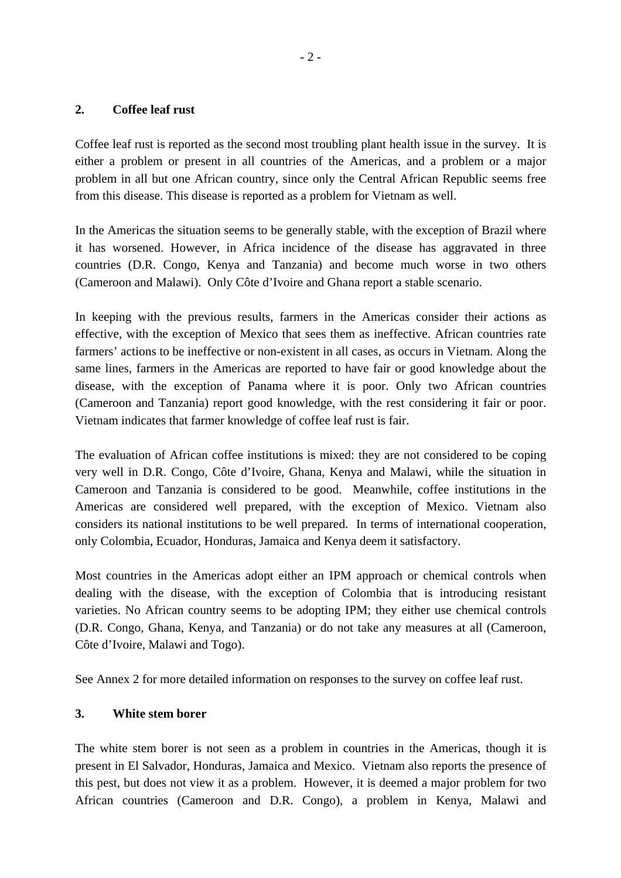## **2. Coffee leaf rust**

Coffee leaf rust is reported as the second most troubling plant health issue in the survey. It is either a problem or present in all countries of the Americas, and a problem or a major problem in all but one African country, since only the Central African Republic seems free from this disease. This disease is reported as a problem for Vietnam as well.

In the Americas the situation seems to be generally stable, with the exception of Brazil where it has worsened. However, in Africa incidence of the disease has aggravated in three countries (D.R. Congo, Kenya and Tanzania) and become much worse in two others (Cameroon and Malawi). Only Côte d'Ivoire and Ghana report a stable scenario.

In keeping with the previous results, farmers in the Americas consider their actions as effective, with the exception of Mexico that sees them as ineffective. African countries rate farmers' actions to be ineffective or non-existent in all cases, as occurs in Vietnam. Along the same lines, farmers in the Americas are reported to have fair or good knowledge about the disease, with the exception of Panama where it is poor. Only two African countries (Cameroon and Tanzania) report good knowledge, with the rest considering it fair or poor. Vietnam indicates that farmer knowledge of coffee leaf rust is fair.

The evaluation of African coffee institutions is mixed: they are not considered to be coping very well in D.R. Congo, Côte d'Ivoire, Ghana, Kenya and Malawi, while the situation in Cameroon and Tanzania is considered to be good. Meanwhile, coffee institutions in the Americas are considered well prepared, with the exception of Mexico. Vietnam also considers its national institutions to be well prepared. In terms of international cooperation, only Colombia, Ecuador, Honduras, Jamaica and Kenya deem it satisfactory.

Most countries in the Americas adopt either an IPM approach or chemical controls when dealing with the disease, with the exception of Colombia that is introducing resistant varieties. No African country seems to be adopting IPM; they either use chemical controls (D.R. Congo, Ghana, Kenya, and Tanzania) or do not take any measures at all (Cameroon, Côte d'Ivoire, Malawi and Togo).

See Annex 2 for more detailed information on responses to the survey on coffee leaf rust.

## **3. White stem borer**

The white stem borer is not seen as a problem in countries in the Americas, though it is present in El Salvador, Honduras, Jamaica and Mexico. Vietnam also reports the presence of this pest, but does not view it as a problem. However, it is deemed a major problem for two African countries (Cameroon and D.R. Congo), a problem in Kenya, Malawi and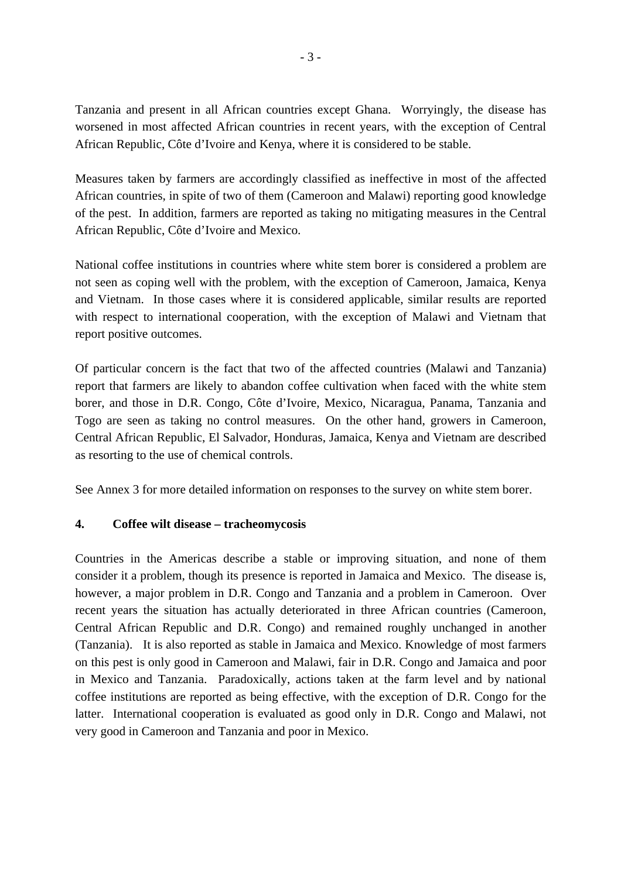Tanzania and present in all African countries except Ghana. Worryingly, the disease has worsened in most affected African countries in recent years, with the exception of Central African Republic, Côte d'Ivoire and Kenya, where it is considered to be stable.

Measures taken by farmers are accordingly classified as ineffective in most of the affected African countries, in spite of two of them (Cameroon and Malawi) reporting good knowledge of the pest. In addition, farmers are reported as taking no mitigating measures in the Central African Republic, Côte d'Ivoire and Mexico.

National coffee institutions in countries where white stem borer is considered a problem are not seen as coping well with the problem, with the exception of Cameroon, Jamaica, Kenya and Vietnam. In those cases where it is considered applicable, similar results are reported with respect to international cooperation, with the exception of Malawi and Vietnam that report positive outcomes.

Of particular concern is the fact that two of the affected countries (Malawi and Tanzania) report that farmers are likely to abandon coffee cultivation when faced with the white stem borer, and those in D.R. Congo, Côte d'Ivoire, Mexico, Nicaragua, Panama, Tanzania and Togo are seen as taking no control measures. On the other hand, growers in Cameroon, Central African Republic, El Salvador, Honduras, Jamaica, Kenya and Vietnam are described as resorting to the use of chemical controls.

See Annex 3 for more detailed information on responses to the survey on white stem borer.

## **4. Coffee wilt disease – tracheomycosis**

Countries in the Americas describe a stable or improving situation, and none of them consider it a problem, though its presence is reported in Jamaica and Mexico. The disease is, however, a major problem in D.R. Congo and Tanzania and a problem in Cameroon. Over recent years the situation has actually deteriorated in three African countries (Cameroon, Central African Republic and D.R. Congo) and remained roughly unchanged in another (Tanzania). It is also reported as stable in Jamaica and Mexico. Knowledge of most farmers on this pest is only good in Cameroon and Malawi, fair in D.R. Congo and Jamaica and poor in Mexico and Tanzania. Paradoxically, actions taken at the farm level and by national coffee institutions are reported as being effective, with the exception of D.R. Congo for the latter. International cooperation is evaluated as good only in D.R. Congo and Malawi, not very good in Cameroon and Tanzania and poor in Mexico.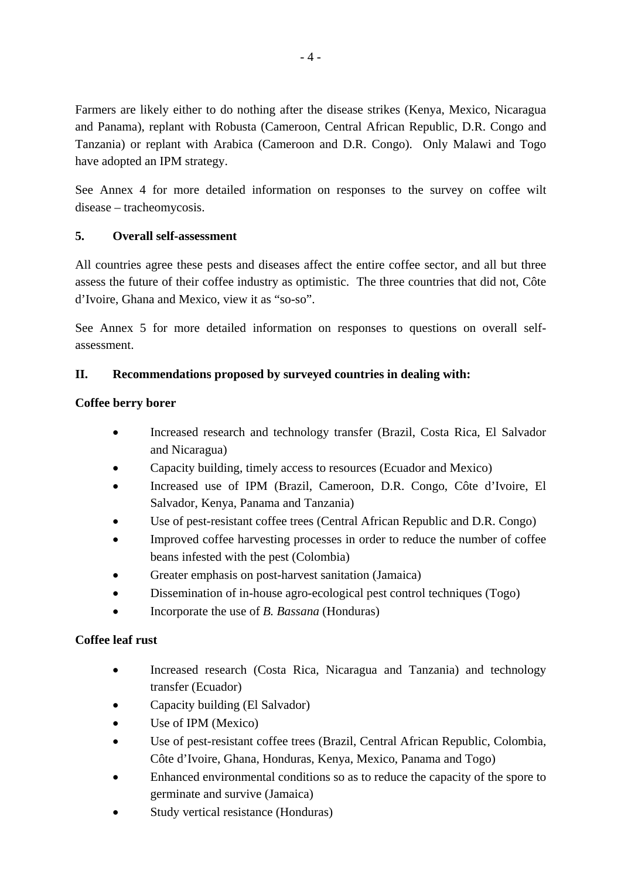Farmers are likely either to do nothing after the disease strikes (Kenya, Mexico, Nicaragua and Panama), replant with Robusta (Cameroon, Central African Republic, D.R. Congo and Tanzania) or replant with Arabica (Cameroon and D.R. Congo). Only Malawi and Togo have adopted an IPM strategy.

See Annex 4 for more detailed information on responses to the survey on coffee wilt disease – tracheomycosis.

# **5. Overall self-assessment**

All countries agree these pests and diseases affect the entire coffee sector, and all but three assess the future of their coffee industry as optimistic. The three countries that did not, Côte d'Ivoire, Ghana and Mexico, view it as "so-so".

See Annex 5 for more detailed information on responses to questions on overall selfassessment.

# **II. Recommendations proposed by surveyed countries in dealing with:**

# **Coffee berry borer**

- Increased research and technology transfer (Brazil, Costa Rica, El Salvador and Nicaragua)
- Capacity building, timely access to resources (Ecuador and Mexico)
- Increased use of IPM (Brazil, Cameroon, D.R. Congo, Côte d'Ivoire, El Salvador, Kenya, Panama and Tanzania)
- Use of pest-resistant coffee trees (Central African Republic and D.R. Congo)
- Improved coffee harvesting processes in order to reduce the number of coffee beans infested with the pest (Colombia)
- Greater emphasis on post-harvest sanitation (Jamaica)
- Dissemination of in-house agro-ecological pest control techniques (Togo)
- Incorporate the use of *B. Bassana* (Honduras)

# **Coffee leaf rust**

- Increased research (Costa Rica, Nicaragua and Tanzania) and technology transfer (Ecuador)
- Capacity building (El Salvador)
- Use of IPM (Mexico)
- Use of pest-resistant coffee trees (Brazil, Central African Republic, Colombia, Côte d'Ivoire, Ghana, Honduras, Kenya, Mexico, Panama and Togo)
- Enhanced environmental conditions so as to reduce the capacity of the spore to germinate and survive (Jamaica)
- Study vertical resistance (Honduras)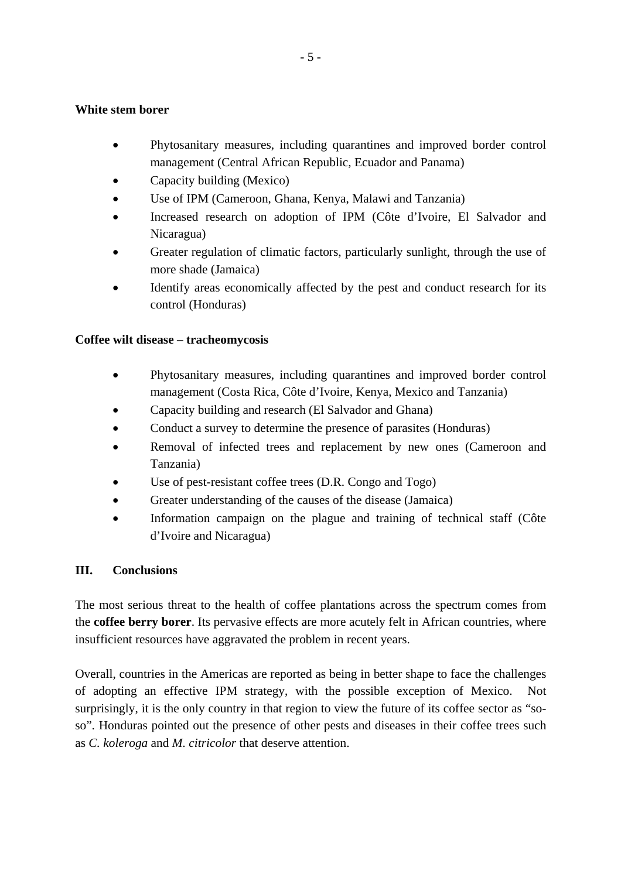## **White stem borer**

- Phytosanitary measures, including quarantines and improved border control management (Central African Republic, Ecuador and Panama)
- Capacity building (Mexico)
- Use of IPM (Cameroon, Ghana, Kenya, Malawi and Tanzania)
- Increased research on adoption of IPM (Côte d'Ivoire, El Salvador and Nicaragua)
- Greater regulation of climatic factors, particularly sunlight, through the use of more shade (Jamaica)
- Identify areas economically affected by the pest and conduct research for its control (Honduras)

## **Coffee wilt disease – tracheomycosis**

- Phytosanitary measures, including quarantines and improved border control management (Costa Rica, Côte d'Ivoire, Kenya, Mexico and Tanzania)
- Capacity building and research (El Salvador and Ghana)
- Conduct a survey to determine the presence of parasites (Honduras)
- Removal of infected trees and replacement by new ones (Cameroon and Tanzania)
- Use of pest-resistant coffee trees (D.R. Congo and Togo)
- Greater understanding of the causes of the disease (Jamaica)
- Information campaign on the plague and training of technical staff (Côte d'Ivoire and Nicaragua)

## **III. Conclusions**

The most serious threat to the health of coffee plantations across the spectrum comes from the **coffee berry borer**. Its pervasive effects are more acutely felt in African countries, where insufficient resources have aggravated the problem in recent years.

Overall, countries in the Americas are reported as being in better shape to face the challenges of adopting an effective IPM strategy, with the possible exception of Mexico. Not surprisingly, it is the only country in that region to view the future of its coffee sector as "soso". Honduras pointed out the presence of other pests and diseases in their coffee trees such as *C. koleroga* and *M. citricolor* that deserve attention.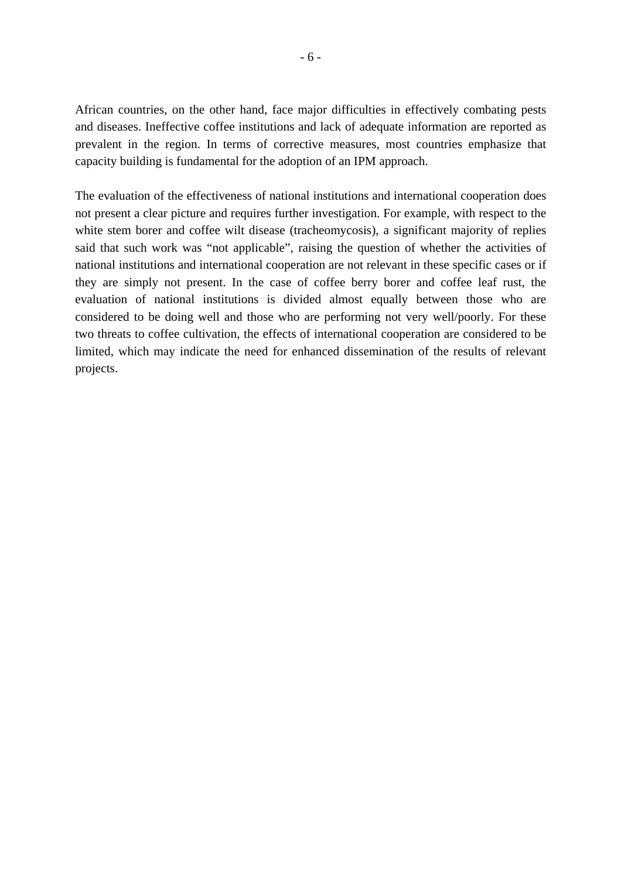African countries, on the other hand, face major difficulties in effectively combating pests and diseases. Ineffective coffee institutions and lack of adequate information are reported as prevalent in the region. In terms of corrective measures, most countries emphasize that capacity building is fundamental for the adoption of an IPM approach.

The evaluation of the effectiveness of national institutions and international cooperation does not present a clear picture and requires further investigation. For example, with respect to the white stem borer and coffee wilt disease (tracheomycosis), a significant majority of replies said that such work was "not applicable", raising the question of whether the activities of national institutions and international cooperation are not relevant in these specific cases or if they are simply not present. In the case of coffee berry borer and coffee leaf rust, the evaluation of national institutions is divided almost equally between those who are considered to be doing well and those who are performing not very well/poorly. For these two threats to coffee cultivation, the effects of international cooperation are considered to be limited, which may indicate the need for enhanced dissemination of the results of relevant projects.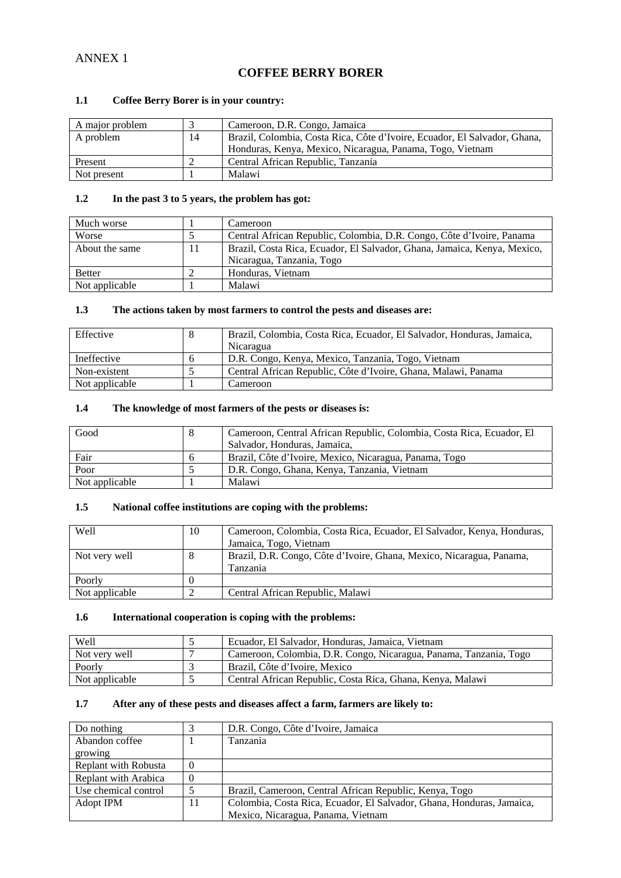## ANNEX 1

## **COFFEE BERRY BORER**

#### **1.1 Coffee Berry Borer is in your country:**

| A major problem |    | Cameroon, D.R. Congo, Jamaica                                             |
|-----------------|----|---------------------------------------------------------------------------|
| A problem       | 14 | Brazil, Colombia, Costa Rica, Côte d'Ivoire, Ecuador, El Salvador, Ghana, |
|                 |    | Honduras, Kenya, Mexico, Nicaragua, Panama, Togo, Vietnam                 |
| Present         |    | Central African Republic, Tanzania                                        |
| Not present     |    | Malawi                                                                    |

#### **1.2 In the past 3 to 5 years, the problem has got:**

| Much worse     |    | Cameroon                                                                 |
|----------------|----|--------------------------------------------------------------------------|
| Worse          |    | Central African Republic, Colombia, D.R. Congo, Côte d'Ivoire, Panama    |
| About the same | 11 | Brazil, Costa Rica, Ecuador, El Salvador, Ghana, Jamaica, Kenya, Mexico, |
|                |    | Nicaragua, Tanzania, Togo                                                |
| <b>Better</b>  |    | Honduras, Vietnam                                                        |
| Not applicable |    | Malawi                                                                   |

#### **1.3 The actions taken by most farmers to control the pests and diseases are:**

| Effective      |              | Brazil, Colombia, Costa Rica, Ecuador, El Salvador, Honduras, Jamaica, |
|----------------|--------------|------------------------------------------------------------------------|
|                |              | Nicaragua                                                              |
| Ineffective    | <sub>n</sub> | D.R. Congo, Kenya, Mexico, Tanzania, Togo, Vietnam                     |
| Non-existent   |              | Central African Republic, Côte d'Ivoire, Ghana, Malawi, Panama         |
| Not applicable |              | Cameroon                                                               |

### **1.4 The knowledge of most farmers of the pests or diseases is:**

| Good           |   | Cameroon, Central African Republic, Colombia, Costa Rica, Ecuador, El |
|----------------|---|-----------------------------------------------------------------------|
|                |   | Salvador, Honduras, Jamaica,                                          |
| Fair           | n | Brazil, Côte d'Ivoire, Mexico, Nicaragua, Panama, Togo                |
| Poor           |   | D.R. Congo, Ghana, Kenya, Tanzania, Vietnam                           |
| Not applicable |   | Malawi                                                                |

#### **1.5 National coffee institutions are coping with the problems:**

| <b>Well</b>    | 10 | Cameroon, Colombia, Costa Rica, Ecuador, El Salvador, Kenya, Honduras, |
|----------------|----|------------------------------------------------------------------------|
|                |    | Jamaica, Togo, Vietnam                                                 |
| Not very well  |    | Brazil, D.R. Congo, Côte d'Ivoire, Ghana, Mexico, Nicaragua, Panama,   |
|                |    | Tanzania                                                               |
| Poorly         |    |                                                                        |
| Not applicable |    | Central African Republic, Malawi                                       |

#### **1.6 International cooperation is coping with the problems:**

| Well           | Ecuador, El Salvador, Honduras, Jamaica, Vietnam                  |
|----------------|-------------------------------------------------------------------|
| Not very well  | Cameroon, Colombia, D.R. Congo, Nicaragua, Panama, Tanzania, Togo |
| Poorly         | Brazil, Côte d'Ivoire, Mexico                                     |
| Not applicable | Central African Republic, Costa Rica, Ghana, Kenya, Malawi        |

| Do nothing           |    | D.R. Congo, Côte d'Ivoire, Jamaica                                    |
|----------------------|----|-----------------------------------------------------------------------|
| Abandon coffee       |    | Tanzania                                                              |
| growing              |    |                                                                       |
| Replant with Robusta |    |                                                                       |
| Replant with Arabica |    |                                                                       |
| Use chemical control |    | Brazil, Cameroon, Central African Republic, Kenya, Togo               |
| Adopt IPM            | 11 | Colombia, Costa Rica, Ecuador, El Salvador, Ghana, Honduras, Jamaica, |
|                      |    | Mexico, Nicaragua, Panama, Vietnam                                    |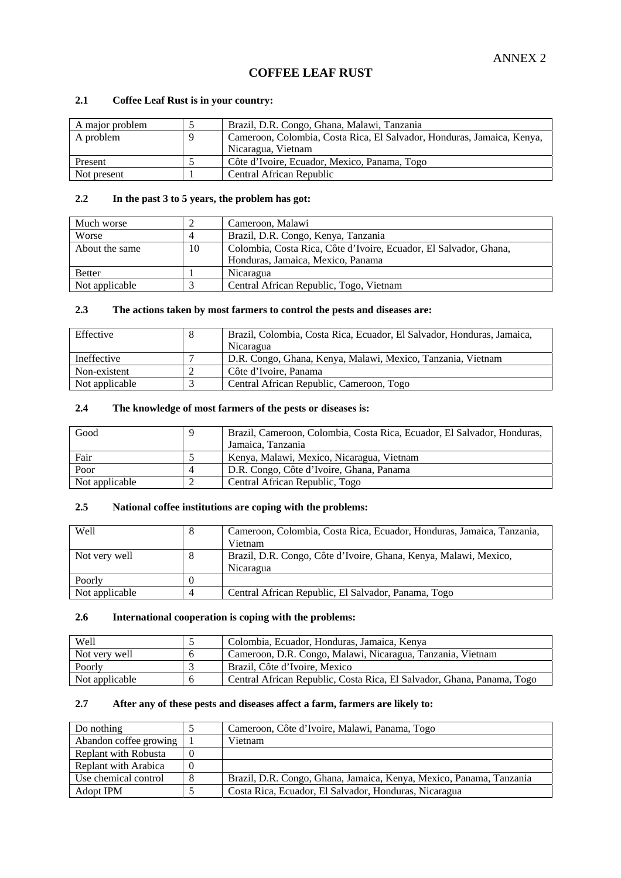## **COFFEE LEAF RUST**

#### **2.1 Coffee Leaf Rust is in your country:**

| A major problem | Brazil, D.R. Congo, Ghana, Malawi, Tanzania                            |
|-----------------|------------------------------------------------------------------------|
| A problem       | Cameroon, Colombia, Costa Rica, El Salvador, Honduras, Jamaica, Kenya, |
|                 | Nicaragua, Vietnam                                                     |
| Present         | Côte d'Ivoire, Ecuador, Mexico, Panama, Togo                           |
| Not present     | Central African Republic                                               |

#### **2.2 In the past 3 to 5 years, the problem has got:**

| Much worse     |    | Cameroon, Malawi                                                  |
|----------------|----|-------------------------------------------------------------------|
| Worse          | 4  | Brazil, D.R. Congo, Kenya, Tanzania                               |
| About the same | 10 | Colombia, Costa Rica, Côte d'Ivoire, Ecuador, El Salvador, Ghana, |
|                |    | Honduras, Jamaica, Mexico, Panama                                 |
| <b>Better</b>  |    | Nicaragua                                                         |
| Not applicable |    | Central African Republic, Togo, Vietnam                           |

#### **2.3 The actions taken by most farmers to control the pests and diseases are:**

| Effective      | Brazil, Colombia, Costa Rica, Ecuador, El Salvador, Honduras, Jamaica,<br>Nicaragua |
|----------------|-------------------------------------------------------------------------------------|
| Ineffective    | D.R. Congo, Ghana, Kenya, Malawi, Mexico, Tanzania, Vietnam                         |
| Non-existent   | Côte d'Ivoire, Panama                                                               |
| Not applicable | Central African Republic, Cameroon, Togo                                            |

### **2.4 The knowledge of most farmers of the pests or diseases is:**

| Good           | q | Brazil, Cameroon, Colombia, Costa Rica, Ecuador, El Salvador, Honduras, |
|----------------|---|-------------------------------------------------------------------------|
|                |   | Jamaica, Tanzania                                                       |
| Fair           |   | Kenya, Malawi, Mexico, Nicaragua, Vietnam                               |
| Poor           | 4 | D.R. Congo, Côte d'Ivoire, Ghana, Panama                                |
| Not applicable |   | Central African Republic, Togo                                          |

#### **2.5 National coffee institutions are coping with the problems:**

| <b>Well</b>    | Cameroon, Colombia, Costa Rica, Ecuador, Honduras, Jamaica, Tanzania,<br>Vietnam |
|----------------|----------------------------------------------------------------------------------|
| Not very well  | Brazil, D.R. Congo, Côte d'Ivoire, Ghana, Kenya, Malawi, Mexico,<br>Nicaragua    |
| Poorly         |                                                                                  |
| Not applicable | Central African Republic, El Salvador, Panama, Togo                              |

#### **2.6 International cooperation is coping with the problems:**

| <b>Well</b>    | Colombia, Ecuador, Honduras, Jamaica, Kenya                            |
|----------------|------------------------------------------------------------------------|
| Not very well  | Cameroon, D.R. Congo, Malawi, Nicaragua, Tanzania, Vietnam             |
| Poorly         | Brazil. Côte d'Ivoire. Mexico                                          |
| Not applicable | Central African Republic, Costa Rica, El Salvador, Ghana, Panama, Togo |

| Do nothing                 | Cameroon, Côte d'Ivoire, Malawi, Panama, Togo                       |
|----------------------------|---------------------------------------------------------------------|
| Abandon coffee growing   1 | Vietnam                                                             |
| Replant with Robusta       |                                                                     |
| Replant with Arabica       |                                                                     |
| Use chemical control       | Brazil, D.R. Congo, Ghana, Jamaica, Kenya, Mexico, Panama, Tanzania |
| Adopt IPM                  | Costa Rica, Ecuador, El Salvador, Honduras, Nicaragua               |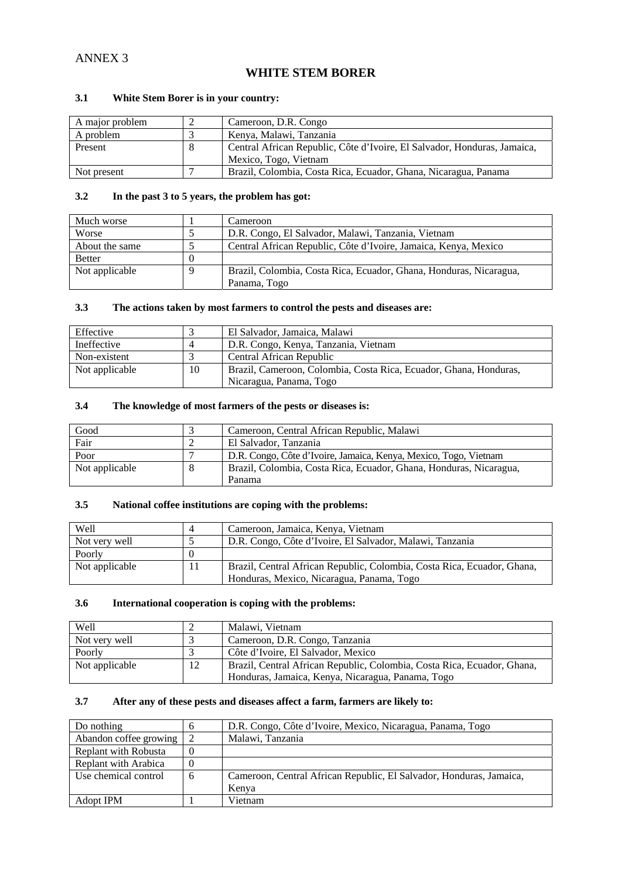## **WHITE STEM BORER**

### **3.1 White Stem Borer is in your country:**

| A major problem | Cameroon, D.R. Congo                                                     |
|-----------------|--------------------------------------------------------------------------|
| A problem       | Kenya, Malawi, Tanzania                                                  |
| Present         | Central African Republic, Côte d'Ivoire, El Salvador, Honduras, Jamaica, |
|                 | Mexico, Togo, Vietnam                                                    |
| Not present     | Brazil, Colombia, Costa Rica, Ecuador, Ghana, Nicaragua, Panama          |

#### **3.2 In the past 3 to 5 years, the problem has got:**

| Much worse     | Cameroon                                                           |
|----------------|--------------------------------------------------------------------|
| Worse          | D.R. Congo, El Salvador, Malawi, Tanzania, Vietnam                 |
| About the same | Central African Republic, Côte d'Ivoire, Jamaica, Kenya, Mexico    |
| <b>Better</b>  |                                                                    |
| Not applicable | Brazil, Colombia, Costa Rica, Ecuador, Ghana, Honduras, Nicaragua, |
|                | Panama, Togo                                                       |

#### **3.3 The actions taken by most farmers to control the pests and diseases are:**

| Effective      |    | El Salvador, Jamaica, Malawi                                      |
|----------------|----|-------------------------------------------------------------------|
| Ineffective    |    | D.R. Congo, Kenya, Tanzania, Vietnam                              |
| Non-existent   |    | Central African Republic                                          |
| Not applicable | 10 | Brazil, Cameroon, Colombia, Costa Rica, Ecuador, Ghana, Honduras, |
|                |    | Nicaragua, Panama, Togo                                           |

### **3.4 The knowledge of most farmers of the pests or diseases is:**

| Good           |   | Cameroon, Central African Republic, Malawi                         |
|----------------|---|--------------------------------------------------------------------|
| Fair           |   | El Salvador, Tanzania                                              |
| Poor           |   | D.R. Congo, Côte d'Ivoire, Jamaica, Kenya, Mexico, Togo, Vietnam   |
| Not applicable | 8 | Brazil, Colombia, Costa Rica, Ecuador, Ghana, Honduras, Nicaragua, |
|                |   | Panama                                                             |

#### **3.5 National coffee institutions are coping with the problems:**

| Well           | Cameroon, Jamaica, Kenya, Vietnam                                       |
|----------------|-------------------------------------------------------------------------|
| Not very well  | D.R. Congo, Côte d'Ivoire, El Salvador, Malawi, Tanzania                |
| Poorly         |                                                                         |
| Not applicable | Brazil, Central African Republic, Colombia, Costa Rica, Ecuador, Ghana, |
|                | Honduras, Mexico, Nicaragua, Panama, Togo                               |

#### **3.6 International cooperation is coping with the problems:**

| Well           |    | Malawi, Vietnam                                                         |
|----------------|----|-------------------------------------------------------------------------|
| Not very well  |    | Cameroon, D.R. Congo, Tanzania                                          |
| Poorly         |    | Côte d'Ivoire, El Salvador, Mexico                                      |
| Not applicable | 12 | Brazil, Central African Republic, Colombia, Costa Rica, Ecuador, Ghana, |
|                |    | Honduras, Jamaica, Kenya, Nicaragua, Panama, Togo                       |

| Do nothing             | h | D.R. Congo, Côte d'Ivoire, Mexico, Nicaragua, Panama, Togo          |
|------------------------|---|---------------------------------------------------------------------|
| Abandon coffee growing |   | Malawi, Tanzania                                                    |
| Replant with Robusta   |   |                                                                     |
| Replant with Arabica   |   |                                                                     |
| Use chemical control   | 6 | Cameroon, Central African Republic, El Salvador, Honduras, Jamaica, |
|                        |   | Kenya                                                               |
| Adopt IPM              |   | Vietnam                                                             |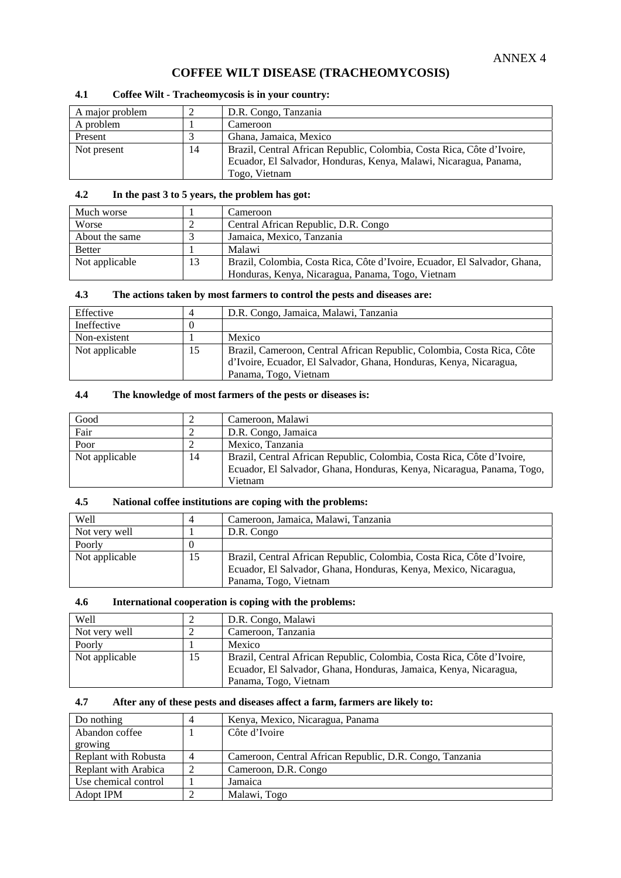## **COFFEE WILT DISEASE (TRACHEOMYCOSIS)**

#### **4.1 Coffee Wilt - Tracheomycosis is in your country:**

| A major problem |    | D.R. Congo, Tanzania                                                   |
|-----------------|----|------------------------------------------------------------------------|
| A problem       |    | Cameroon                                                               |
| Present         |    | Ghana, Jamaica, Mexico                                                 |
| Not present     | 14 | Brazil, Central African Republic, Colombia, Costa Rica, Côte d'Ivoire, |
|                 |    | Ecuador, El Salvador, Honduras, Kenya, Malawi, Nicaragua, Panama,      |
|                 |    | Togo, Vietnam                                                          |

#### **4.2 In the past 3 to 5 years, the problem has got:**

| Much worse     |    | Cameroon                                                                  |
|----------------|----|---------------------------------------------------------------------------|
| Worse          |    | Central African Republic, D.R. Congo                                      |
| About the same |    | Jamaica, Mexico, Tanzania                                                 |
| <b>Better</b>  |    | Malawi                                                                    |
| Not applicable | 13 | Brazil, Colombia, Costa Rica, Côte d'Ivoire, Ecuador, El Salvador, Ghana, |
|                |    | Honduras, Kenya, Nicaragua, Panama, Togo, Vietnam                         |

#### **4.3 The actions taken by most farmers to control the pests and diseases are:**

| Effective      | 4  | D.R. Congo, Jamaica, Malawi, Tanzania                                                                                                                                 |
|----------------|----|-----------------------------------------------------------------------------------------------------------------------------------------------------------------------|
| Ineffective    |    |                                                                                                                                                                       |
| Non-existent   |    | Mexico                                                                                                                                                                |
| Not applicable | 15 | Brazil, Cameroon, Central African Republic, Colombia, Costa Rica, Côte<br>d'Ivoire, Ecuador, El Salvador, Ghana, Honduras, Kenya, Nicaragua,<br>Panama, Togo, Vietnam |

#### **4.4 The knowledge of most farmers of the pests or diseases is:**

| Good           |    | Cameroon, Malawi                                                       |
|----------------|----|------------------------------------------------------------------------|
| Fair           |    | D.R. Congo, Jamaica                                                    |
| Poor           |    | Mexico, Tanzania                                                       |
| Not applicable | 14 | Brazil, Central African Republic, Colombia, Costa Rica, Côte d'Ivoire, |
|                |    | Ecuador, El Salvador, Ghana, Honduras, Kenya, Nicaragua, Panama, Togo, |
|                |    | Vietnam                                                                |

#### **4.5 National coffee institutions are coping with the problems:**

| Well           |    | Cameroon, Jamaica, Malawi, Tanzania                                    |
|----------------|----|------------------------------------------------------------------------|
| Not very well  |    | D.R. Congo                                                             |
| Poorly         |    |                                                                        |
| Not applicable | 15 | Brazil, Central African Republic, Colombia, Costa Rica, Côte d'Ivoire, |
|                |    | Ecuador, El Salvador, Ghana, Honduras, Kenya, Mexico, Nicaragua,       |
|                |    | Panama, Togo, Vietnam                                                  |

#### **4.6 International cooperation is coping with the problems:**

| Well           |    | D.R. Congo, Malawi                                                     |
|----------------|----|------------------------------------------------------------------------|
| Not very well  |    | Cameroon, Tanzania                                                     |
| Poorly         |    | Mexico                                                                 |
| Not applicable | 15 | Brazil, Central African Republic, Colombia, Costa Rica, Côte d'Ivoire, |
|                |    | Ecuador, El Salvador, Ghana, Honduras, Jamaica, Kenya, Nicaragua,      |
|                |    | Panama, Togo, Vietnam                                                  |

| Do nothing           | Kenya, Mexico, Nicaragua, Panama                         |
|----------------------|----------------------------------------------------------|
| Abandon coffee       | Côte d'Ivoire                                            |
| growing              |                                                          |
| Replant with Robusta | Cameroon, Central African Republic, D.R. Congo, Tanzania |
| Replant with Arabica | Cameroon, D.R. Congo                                     |
| Use chemical control | Jamaica                                                  |
| Adopt IPM            | Malawi, Togo                                             |